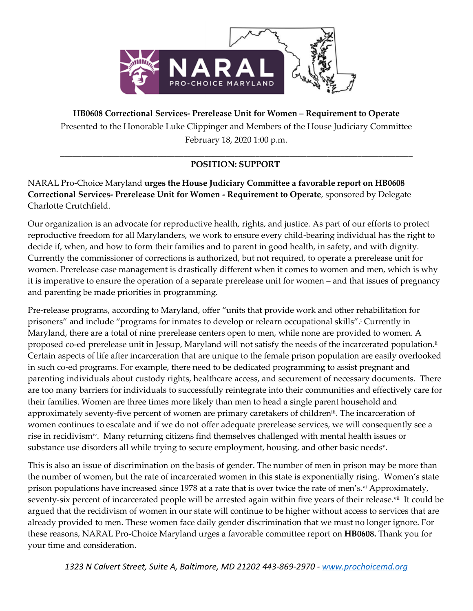

**HB0608 Correctional Services- Prerelease Unit for Women – Requirement to Operate** Presented to the Honorable Luke Clippinger and Members of the House Judiciary Committee February 18, 2020 1:00 p.m.

## \_\_\_\_\_\_\_\_\_\_\_\_\_\_\_\_\_\_\_\_\_\_\_\_\_\_\_\_\_\_\_\_\_\_\_\_\_\_\_\_\_\_\_\_\_\_\_\_\_\_\_\_\_\_\_\_\_\_\_\_\_\_\_\_\_\_\_\_\_\_\_\_\_\_\_\_\_\_\_\_\_\_\_ **POSITION: SUPPORT**

NARAL Pro-Choice Maryland **urges the House Judiciary Committee a favorable report on HB0608 Correctional Services- Prerelease Unit for Women - Requirement to Operate**, sponsored by Delegate Charlotte Crutchfield.

Our organization is an advocate for reproductive health, rights, and justice. As part of our efforts to protect reproductive freedom for all Marylanders, we work to ensure every child-bearing individual has the right to decide if, when, and how to form their families and to parent in good health, in safety, and with dignity. Currently the commissioner of corrections is authorized, but not required, to operate a prerelease unit for women. Prerelease case management is drastically different when it comes to women and men, which is why it is imperative to ensure the operation of a separate prerelease unit for women – and that issues of pregnancy and parenting be made priorities in programming.

Pre-release programs, according to Maryland, offer "units that provide work and other rehabilitation for prisoners" and include "programs for inmates to develop or relearn occupational skills". <sup>i</sup> Currently in Maryland, there are a total of nine prerelease centers open to men, while none are provided to women. A proposed co-ed prerelease unit in Jessup, Maryland will not satisfy the needs of the incarcerated population.<sup>ii</sup> Certain aspects of life after incarceration that are unique to the female prison population are easily overlooked in such co-ed programs. For example, there need to be dedicated programming to assist pregnant and parenting individuals about custody rights, healthcare access, and securement of necessary documents. There are too many barriers for individuals to successfully reintegrate into their communities and effectively care for their families. Women are three times more likely than men to head a single parent household and approximately seventy-five percent of women are primary caretakers of children<del>"</del>. The incarceration of women continues to escalate and if we do not offer adequate prerelease services, we will consequently see a rise in recidivismiv . Many returning citizens find themselves challenged with mental health issues or substance use disorders all while trying to secure employment, housing, and other basic needs $^{\rm v}$ .

This is also an issue of discrimination on the basis of gender. The number of men in prison may be more than the number of women, but the rate of incarcerated women in this state is exponentially rising. Women's state prison populations have increased since 1978 at a rate that is over twice the rate of men's.<sup>vi</sup> Approximately, seventy-six percent of incarcerated people will be arrested again within five years of their release.<sup>vii</sup> It could be argued that the recidivism of women in our state will continue to be higher without access to services that are already provided to men. These women face daily gender discrimination that we must no longer ignore. For these reasons, NARAL Pro-Choice Maryland urges a favorable committee report on **HB0608.** Thank you for your time and consideration.

*1323 N Calvert Street, Suite A, Baltimore, MD 21202 443-869-2970 - [www.prochoicemd.org](http://www.prochoicemd.org/)*